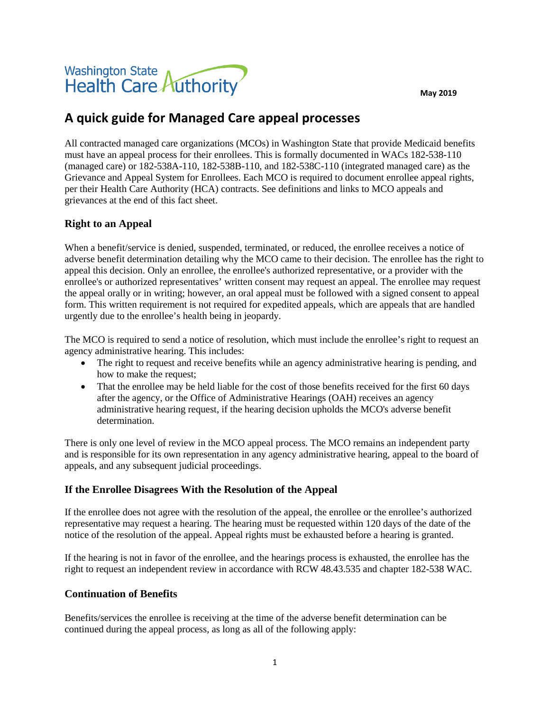**May 2019**



# **A quick guide for Managed Care appeal processes**

All contracted managed care organizations (MCOs) in Washington State that provide Medicaid benefits must have an appeal process for their enrollees. This is formally documented in WACs 182-538-110 (managed care) or 182-538A-110, 182-538B-110, and 182-538C-110 (integrated managed care) as the Grievance and Appeal System for Enrollees. Each MCO is required to document enrollee appeal rights, per their Health Care Authority (HCA) contracts. See definitions and links to MCO appeals and grievances at the end of this fact sheet.

## **Right to an Appeal**

When a benefit/service is denied, suspended, terminated, or reduced, the enrollee receives a notice of adverse benefit determination detailing why the MCO came to their decision. The enrollee has the right to appeal this decision. Only an enrollee, the enrollee's authorized representative, or a provider with the enrollee's or authorized representatives' written consent may request an appeal. The enrollee may request the appeal orally or in writing; however, an oral appeal must be followed with a signed consent to appeal form. This written requirement is not required for expedited appeals, which are appeals that are handled urgently due to the enrollee's health being in jeopardy.

The MCO is required to send a notice of resolution, which must include the enrollee's right to request an agency administrative hearing. This includes:

- The right to request and receive benefits while an agency administrative hearing is pending, and how to make the request;
- That the enrollee may be held liable for the cost of those benefits received for the first 60 days after the agency, or the Office of Administrative Hearings (OAH) receives an agency administrative hearing request, if the hearing decision upholds the MCO's adverse benefit determination.

There is only one level of review in the MCO appeal process. The MCO remains an independent party and is responsible for its own representation in any agency administrative hearing, appeal to the board of appeals, and any subsequent judicial proceedings.

## **If the Enrollee Disagrees With the Resolution of the Appeal**

If the enrollee does not agree with the resolution of the appeal, the enrollee or the enrollee's authorized representative may request a hearing. The hearing must be requested within 120 days of the date of the notice of the resolution of the appeal. Appeal rights must be exhausted before a hearing is granted.

If the hearing is not in favor of the enrollee, and the hearings process is exhausted, the enrollee has the right to request an independent review in accordance with RCW 48.43.535 and chapter 182-538 WAC.

#### **Continuation of Benefits**

Benefits/services the enrollee is receiving at the time of the adverse benefit determination can be continued during the appeal process, as long as all of the following apply: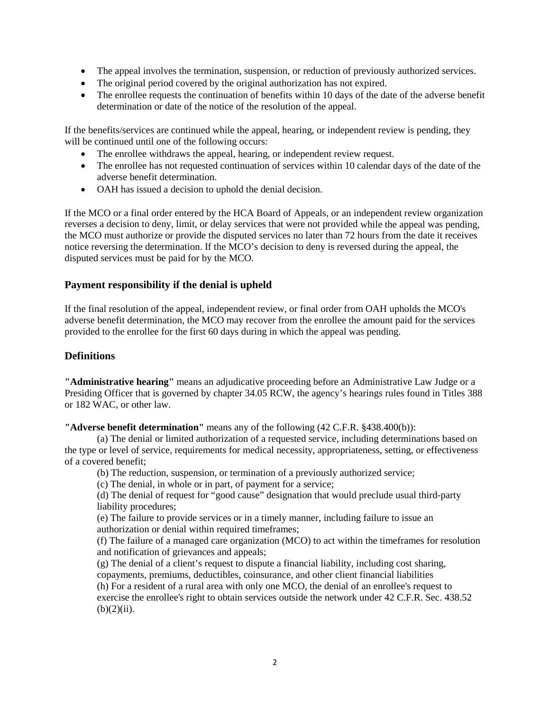- The appeal involves the termination, suspension, or reduction of previously authorized services.
- The original period covered by the original authorization has not expired.
- The enrollee requests the continuation of benefits within 10 days of the date of the adverse benefit determination or date of the notice of the resolution of the appeal.

If the benefits/services are continued while the appeal, hearing, or independent review is pending, they will be continued until one of the following occurs:

- The enrollee withdraws the appeal, hearing, or independent review request.
- The enrollee has not requested continuation of services within 10 calendar days of the date of the adverse benefit determination.
- OAH has issued a decision to uphold the denial decision.

If the MCO or a final order entered by the HCA Board of Appeals, or an independent review organization reverses a decision to deny, limit, or delay services that were not provided while the appeal was pending, the MCO must authorize or provide the disputed services no later than 72 hours from the date it receives notice reversing the determination. If the MCO's decision to deny is reversed during the appeal, the disputed services must be paid for by the MCO.

## **Payment responsibility if the denial is upheld**

If the final resolution of the appeal, independent review, or final order from OAH upholds the MCO's adverse benefit determination, the MCO may recover from the enrollee the amount paid for the services provided to the enrollee for the first 60 days during in which the appeal was pending.

### **Definitions**

**"Administrative hearing"** means an adjudicative proceeding before an Administrative Law Judge or a Presiding Officer that is governed by chapter 34.05 RCW, the agency's hearings rules found in Titles 388 or 182 WAC, or other law.

**"Adverse benefit determination"** means any of the following (42 C.F.R. §438.400(b)):

(a) The denial or limited authorization of a requested service, including determinations based on the type or level of service, requirements for medical necessity, appropriateness, setting, or effectiveness of a covered benefit;

(b) The reduction, suspension, or termination of a previously authorized service;

(c) The denial, in whole or in part, of payment for a service;

(d) The denial of request for "good cause" designation that would preclude usual third-party liability procedures;

(e) The failure to provide services or in a timely manner, including failure to issue an authorization or denial within required timeframes;

(f) The failure of a managed care organization (MCO) to act within the timeframes for resolution and notification of grievances and appeals;

(g) The denial of a client's request to dispute a financial liability, including cost sharing, copayments, premiums, deductibles, coinsurance, and other client financial liabilities

(h) For a resident of a rural area with only one MCO, the denial of an enrollee's request to exercise the enrollee's right to obtain services outside the network under 42 C.F.R. Sec. 438.52  $(b)(2)(ii)$ .